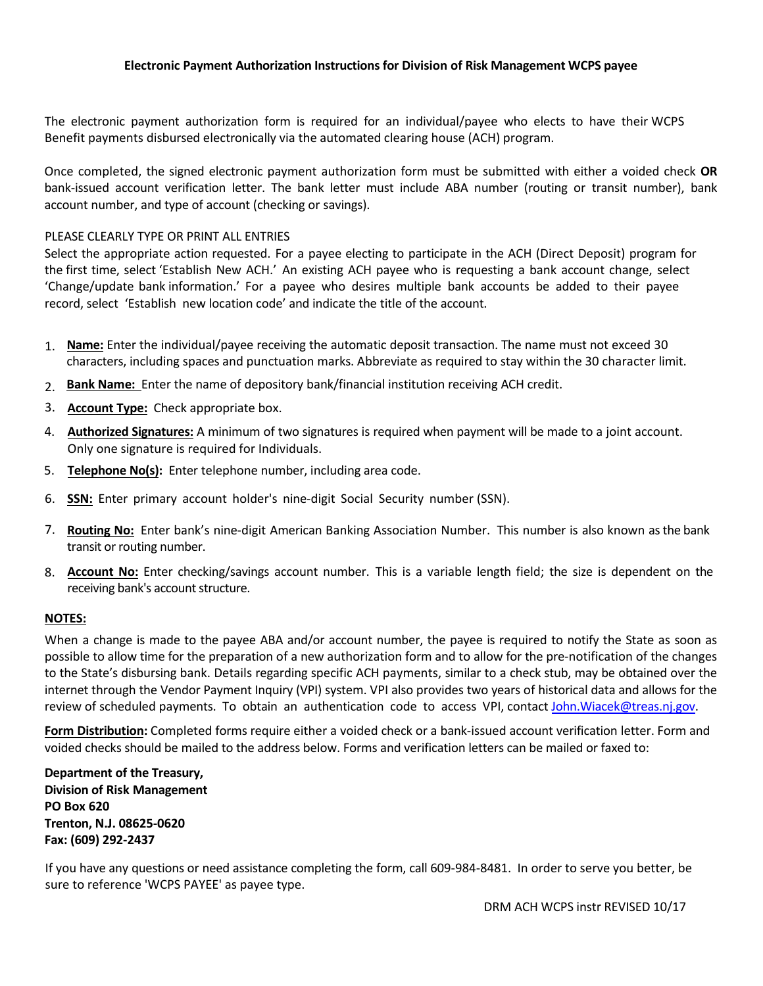## **Electronic Payment Authorization Instructions for Division of Risk Management WCPS payee**

The electronic payment authorization form is required for an individual/payee who elects to have their WCPS Benefit payments disbursed electronically via the automated clearing house (ACH) program.

Once completed, the signed electronic payment authorization form must be submitted with either a voided check **OR**  bank-issued account verification letter. The bank letter must include ABA number (routing or transit number), bank account number, and type of account (checking or savings).

### PLEASE CLEARLY TYPE OR PRINT ALL ENTRIES

Select the appropriate action requested. For a payee electing to participate in the ACH (Direct Deposit) program for the first time, select 'Establish New ACH.' An existing ACH payee who is requesting a bank account change, select 'Change/update bank information.' For a payee who desires multiple bank accounts be added to their payee record, select 'Establish new location code' and indicate the title of the account.

- 1. **Name:** Enter the individual/payee receiving the automatic deposit transaction. The name must not exceed 30 characters, including spaces and punctuation marks. Abbreviate as required to stay within the 30 character limit.
- 2. **Bank Name:** Enter the name of depository bank/financial institution receiving ACH credit.
- 3. **Account Type:** Check appropriate box.
- 4. **Authorized Signatures:** A minimum of two signatures is required when payment will be made to a joint account. Only one signature is required for Individuals.
- 5. **Telephone No(s):** Enter telephone number, including area code.
- 6. **SSN:** Enter primary account holder's nine-digit Social Security number (SSN).
- 7. **Routing No:** Enter bank's nine-digit American Banking Association Number. This number is also known asthe bank transit or routing number.
- 8. **Account No:** Enter checking/savings account number. This is a variable length field; the size is dependent on the receiving bank's account structure.

#### **NOTES:**

When a change is made to the payee ABA and/or account number, the payee is required to notify the State as soon as possible to allow time for the preparation of a new authorization form and to allow for the pre-notification of the changes to the State's disbursing bank. Details regarding specific ACH payments, similar to a check stub, may be obtained over the internet through the Vendor Payment Inquiry (VPI) system. VPI also provides two years of historical data and allows for the review of scheduled payments. To obtain an authentication code to access VPI, contact John.Wiacek@treas.nj.gov.

**Form Distribution:** Completed forms require either a voided check or a bank-issued account verification letter. Form and voided [checks should be mailed to th](mailto:John.Wiacek@treas.nj.gov)e address below. Forms and verification letters can be mailed or faxed to:

**Department of the Treasury, Division of Risk Management PO Box 620 Trenton, N.J. 08625-0620 Fax: (609) 292-2437**

If you have any questions or need assistance completing the form, call 609-984-8481. In order to serve you better, be sure to reference 'WCPS PAYEE' as payee type.